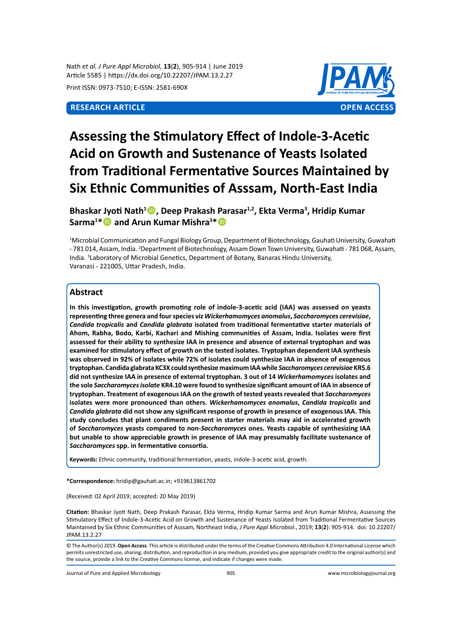Nath *et al. J Pure Appl Microbiol,* **13**(**2**), 905-914 | June 2019 Article 5585 | https://dx.doi.org/10.22207/JPAM.13.2.27

Print ISSN: 0973-7510; E-ISSN: 2581-690X



# **Assessing the Stimulatory Effect of Indole-3-Acetic Acid on Growth and Sustenance of Yeasts Isolated from Traditional Fermentative Sources Maintained by Six Ethnic Communities of Asssam, North-East India**

**Bhaskar Jyoti Nath<sup>1</sup> , Deep Prakash Parasar1,2, Ekta Verma<sup>3</sup> , Hridip Kumar Sarma<sup>1</sup> \* and Arun Kumar Mishra<sup>3</sup> \***

1 Microbial Communication and Fungal Biology Group, Department of Biotechnology, Gauhati University, Guwahati - 781 014, Assam, India. <sup>2</sup>Department of Biotechnology, Assam Down Town University, Guwahati - 781 068, Assam, India. <sup>3</sup> Laboratory of Microbial Genetics, Department of Botany, Banaras Hindu University, Varanasi - 221005, Uttar Pradesh, India.

# **Abstract**

**In this investigation, growth promoting role of indole-3-acetic acid (IAA) was assessed on yeasts representing three genera and four species viz** *Wickerhamomyces anomalus***,** *Saccharomyces cerevisiae***,**  *Candida tropicalis* **and** *Candida glabrata* **isolated from traditional fermentative starter materials of Ahom, Rabha, Bodo, Karbi, Kachari and Mishing communities of Assam, India. Isolates were first assessed for their ability to synthesize IAA in presence and absence of external tryptophan and was examined for stimulatory effect of growth on the tested isolates. Tryptophan dependent IAA synthesis was observed in 92% of isolates while 72% of isolates could synthesize IAA in absence of exogenous tryptophan. Candida glabrata KC3X could synthesize maximum IAA while** *Saccharomyces cerevisiae* **KR5.6 did not synthesize IAA in presence of external tryptophan. 3 out of 14** *Wickerhamomyces* **isolates and the sole** *Saccharomyces isolate* **KR4.10 were found to synthesize significant amount of IAA in absence of tryptophan. Treatment of exogenous IAA on the growth of tested yeasts revealed that** *Saccharomyces*  **isolates were more pronounced than others.** *Wickerhamomyces anomalus***,** *Candida tropicalis* **and**  *Candida glabrata* **did not show any significant response of growth in presence of exogenous IAA. This study concludes that plant condiments present in starter materials may aid in accelerated growth of** *Saccharomyces* **yeasts compared to non-***Saccharomyces* **ones. Yeasts capable of synthesizing IAA but unable to show appreciable growth in presence of IAA may presumably facilitate sustenance of**  *Saccharomyces* **spp. in fermentative consortia.**

**Keywords:** Ethnic community, traditional fermentation, yeasts, indole-3-acetic acid, growth.

**\*Correspondence:** hridip@gauhati.ac.in; +919613861702

(Received: 02 April 2019; accepted: 20 May 2019)

**Citation:** Bhaskar Jyoti Nath, Deep Prakash Parasar, Ekta Verma, Hridip Kumar Sarma and Arun Kumar Mishra, Assessing the Stimulatory Effect of Indole-3-Acetic Acid on Growth and Sustenance of Yeasts Isolated from Traditional Fermentative Sources Maintained by Six Ethnic Communities of Asssam, Northeast India, *J Pure Appl Microbiol*., 2019; **13**(**2**): 905-914. doi: 10.22207/ JPAM.13.2.27

Journal of Pure and Applied Microbiology 905 www.microbiologyjournal.org

<sup>©</sup> The Author(s) 2019. **Open Access**. This article is distributed under the terms of the Creative Commons Attribution 4.0 International License which permits unrestricted use, sharing, distribution, and reproduction in any medium, provided you give appropriate credit to the original author(s) and the source, provide a link to the Creative Commons license, and indicate if changes were made.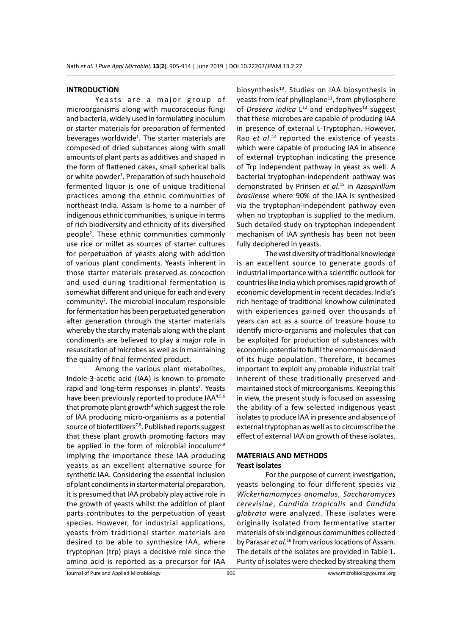#### **INTRODUCTION**

Yeasts are a major group of microorganisms along with mucoraceous fungi and bacteria, widely used in formulating inoculum or starter materials for preparation of fermented beverages worldwide<sup>1</sup>. The starter materials are composed of dried substances along with small amounts of plant parts as additives and shaped in the form of flattened cakes, small spherical balls or white powder<sup>1</sup>. Preparation of such household fermented liquor is one of unique traditional practices among the ethnic communities of northeast India. Assam is home to a number of indigenous ethnic communities, is unique in terms of rich biodiversity and ethnicity of its diversified people2 . These ethnic communities commonly use rice or millet as sources of starter cultures for perpetuation of yeasts along with addition of various plant condiments. Yeasts inherent in those starter materials preserved as concoction and used during traditional fermentation is somewhat different and unique for each and every  $community<sup>2</sup>$ . The microbial inoculum responsible for fermentation has been perpetuated generation after generation through the starter materials whereby the starchy materials along with the plant condiments are believed to play a major role in resuscitation of microbes as well as in maintaining the quality of final fermented product.

Among the various plant metabolites, Indole-3-acetic acid (IAA) is known to promote rapid and long-term responses in plants<sup>3</sup>. Yeasts have been previously reported to produce IAA<sup>4,5,6</sup> that promote plant growth<sup>4</sup> which suggest the role of IAA producing micro-organisms as a potential source of biofertilizers<sup>7,8</sup>. Published reports suggest that these plant growth promoting factors may be applied in the form of microbial inoculum<sup>6,9</sup> implying the importance these IAA producing yeasts as an excellent alternative source for synthetic IAA. Considering the essential inclusion of plant condiments in starter material preparation, it is presumed that IAA probably play active role in the growth of yeasts whilst the addition of plant parts contributes to the perpetuation of yeast species. However, for industrial applications, yeasts from traditional starter materials are desired to be able to synthesize IAA, where tryptophan (trp) plays a decisive role since the amino acid is reported as a precursor for IAA

biosynthesis<sup>10</sup>. Studies on IAA biosynthesis in yeasts from leaf phylloplane<sup>11</sup>, from phyllosphere of *Drosera indica*  $L^{12}$  and endophyes<sup>13</sup> suggest that these microbes are capable of producing IAA in presence of external L-Tryptophan. However, Rao *et al.*<sup>14</sup> reported the existence of yeasts which were capable of producing IAA in absence of external tryptophan indicating the presence of Trp independent pathway in yeast as well. A bacterial tryptophan-independent pathway was demonstrated by Prinsen *et al*. 15 in *Azospirillum brasilense* where 90% of the IAA is synthesized via the tryptophan-independent pathway even when no tryptophan is supplied to the medium. Such detailed study on tryptophan independent mechanism of IAA synthesis has been not been fully deciphered in yeasts.

The vast diversity of traditional knowledge is an excellent source to generate goods of industrial importance with a scientific outlook for countries like India which promises rapid growth of economic development in recent decades. India's rich heritage of traditional knowhow culminated with experiences gained over thousands of years can act as a source of treasure house to identify micro-organisms and molecules that can be exploited for production of substances with economic potential to fulfil the enormous demand of its huge population. Therefore, it becomes important to exploit any probable industrial trait inherent of these traditionally preserved and maintained stock of microorganisms. Keeping this in view, the present study is focused on assessing the ability of a few selected indigenous yeast isolates to produce IAA in presence and absence of external tryptophan as well as to circumscribe the effect of external IAA on growth of these isolates.

#### **MATERIALS AND METHODS Yeast isolates**

For the purpose of current investigation, yeasts belonging to four different species viz *Wickerhamomyces anomalus*, *Saccharomyces cerevisiae*, *Candida tropicalis* and *Candida glabrata* were analyzed. These isolates were originally isolated from fermentative starter materials of six indigenous communities collected by Parasar *et al.*<sup>16</sup> from various locations of Assam. The details of the isolates are provided in Table 1. Purity of isolates were checked by streaking them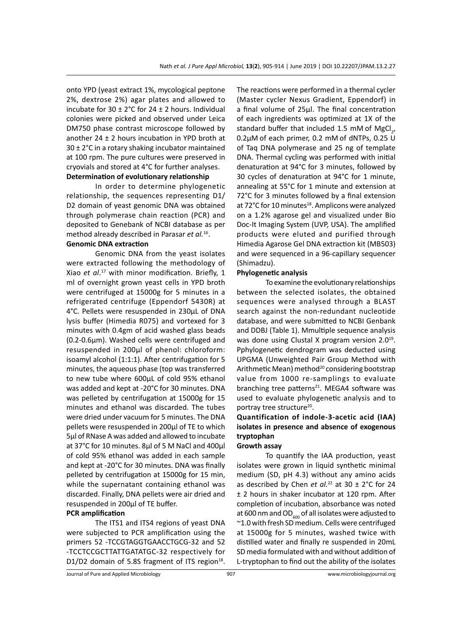onto YPD (yeast extract 1%, mycological peptone 2%, dextrose 2%) agar plates and allowed to incubate for 30  $\pm$  2°C for 24  $\pm$  2 hours. Individual colonies were picked and observed under Leica DM750 phase contrast microscope followed by another  $24 \pm 2$  hours incubation in YPD broth at 30 ± 2°C in a rotary shaking incubator maintained at 100 rpm. The pure cultures were preserved in cryovials and stored at 4°C for further analyses.

### **Determination of evolutionary relationship**

In order to determine phylogenetic relationship, the sequences representing D1/ D2 domain of yeast genomic DNA was obtained through polymerase chain reaction (PCR) and deposited to Genebank of NCBI database as per method already described in Parasar *et al.*16.

# **Genomic DNA extraction**

Genomic DNA from the yeast isolates were extracted following the methodology of Xiao *et al*. 17 with minor modification. Briefly, 1 ml of overnight grown yeast cells in YPD broth were centrifuged at 15000g for 5 minutes in a refrigerated centrifuge (Eppendorf 5430R) at 4°C. Pellets were resuspended in 230µL of DNA lysis buffer (Himedia R075) and vortexed for 3 minutes with 0.4gm of acid washed glass beads (0.2-0.6µm). Washed cells were centrifuged and resuspended in 200µl of phenol: chloroform: isoamyl alcohol (1:1:1). After centrifugation for 5 minutes, the aqueous phase (top was transferred to new tube where 600µL of cold 95% ethanol was added and kept at -20°C for 30 minutes. DNA was pelleted by centrifugation at 15000g for 15 minutes and ethanol was discarded. The tubes were dried under vacuum for 5 minutes. The DNA pellets were resuspended in 200µl of TE to which 5µl of RNase A was added and allowed to incubate at 37°C for 10 minutes. 8µl of 5 M NaCl and 400µl of cold 95% ethanol was added in each sample and kept at -20°C for 30 minutes. DNA was finally pelleted by centrifugation at 15000g for 15 min, while the supernatant containing ethanol was discarded. Finally, DNA pellets were air dried and resuspended in 200µl of TE buffer.

#### **PCR amplification**

The ITS1 and ITS4 regions of yeast DNA were subjected to PCR amplification using the primers 52 -TCCGTAGGTGAACCTGCG-32 and 52 -TCCTCCGCTTATTGATATGC-32 respectively for D1/D2 domain of 5.8S fragment of ITS region $18$ . The reactions were performed in a thermal cycler (Master cycler Nexus Gradient, Eppendorf) in a final volume of 25µl. The final concentration of each ingredients was optimized at 1X of the standard buffer that included 1.5 mM of  ${MgCl}_{2'}$ 0.2µM of each primer, 0.2 mM of dNTPs, 0.25 U of Taq DNA polymerase and 25 ng of template DNA. Thermal cycling was performed with initial denaturation at 94°C for 3 minutes, followed by 30 cycles of denaturation at 94°C for 1 minute, annealing at 55°C for 1 minute and extension at 72°C for 3 minutes followed by a final extension at 72°C for 10 minutes<sup>18</sup>. Amplicons were analyzed on a 1.2% agarose gel and visualized under Bio Doc-It Imaging System (UVP, USA). The amplified products were eluted and purified through Himedia Agarose Gel DNA extraction kit (MB503) and were sequenced in a 96-capillary sequencer (Shimadzu).

#### **Phylogenetic analysis**

To examine the evolutionary relationships between the selected isolates, the obtained sequences were analysed through a BLAST search against the non-redundant nucleotide database, and were submitted to NCBI Genbank and DDBJ (Table 1). Mmultiple sequence analysis was done using Clustal X program version  $2.0^{19}$ . Pphylogenetic dendrogram was deducted using UPGMA (Unweighted Pair Group Method with Arithmetic Mean) method<sup>20</sup> considering bootstrap value from 1000 re-samplings to evaluate branching tree patterns<sup>21</sup>. MEGA4 software was used to evaluate phylogenetic analysis and to portray tree structure<sup>20</sup>.

# **Quantification of indole-3-acetic acid (IAA) isolates in presence and absence of exogenous tryptophan**

#### **Growth assay**

To quantify the IAA production, yeast isolates were grown in liquid synthetic minimal medium (SD, pH 4.3) without any amino acids as described by Chen *et al.*<sup>22</sup> at  $30 \pm 2^{\circ}$ C for 24 ± 2 hours in shaker incubator at 120 rpm. After completion of incubation, absorbance was noted at 600 nm and  $OD_{\epsilon 00}$  of all isolates were adjusted to ~1.0 with fresh SD medium. Cells were centrifuged at 15000g for 5 minutes, washed twice with distilled water and finally re suspended in 20mL SD media formulated with and without addition of L-tryptophan to find out the ability of the isolates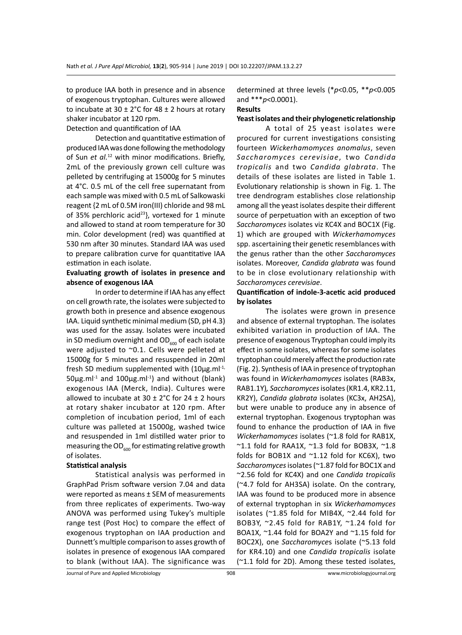to produce IAA both in presence and in absence of exogenous tryptophan. Cultures were allowed to incubate at  $30 \pm 2^{\circ}$ C for  $48 \pm 2$  hours at rotary shaker incubator at 120 rpm.

Detection and quantification of IAA

Detection and quantitative estimation of produced IAA was done following the methodology of Sun *et al.*12 with minor modifications. Briefly, 2mL of the previously grown cell culture was pelleted by centrifuging at 15000g for 5 minutes at 4°C. 0.5 mL of the cell free supernatant from each sample was mixed with 0.5 mL of Salkowaski reagent {2 mL of 0.5M iron(III) chloride and 98 mL of 35% perchloric acid<sup>23</sup>}, vortexed for 1 minute and allowed to stand at room temperature for 30 min. Color development (red) was quantified at 530 nm after 30 minutes. Standard IAA was used to prepare calibration curve for quantitative IAA estimation in each isolate.

### **Evaluating growth of isolates in presence and absence of exogenous IAA**

In order to determine if IAA has any effect on cell growth rate, the isolates were subjected to growth both in presence and absence exogenous IAA. Liquid synthetic minimal medium (SD, pH 4.3) was used for the assay. Isolates were incubated in SD medium overnight and  $OD_{600}$  of each isolate were adjusted to ~0.1. Cells were pelleted at 15000g for 5 minutes and resuspended in 20ml fresh SD medium supplemented with  $(10\mu g.m)^{-1}$ ,  $50\mu$ g.ml<sup>-1</sup> and  $100\mu$ g.ml<sup>-1</sup>) and without (blank) exogenous IAA (Merck, India). Cultures were allowed to incubate at  $30 \pm 2^{\circ}$ C for 24  $\pm$  2 hours at rotary shaker incubator at 120 rpm. After completion of incubation period, 1ml of each culture was palleted at 15000g, washed twice and resuspended in 1ml distilled water prior to measuring the  $OD_{\epsilon_{00}}$  for estimating relative growth of isolates.

#### **Statistical analysis**

Statistical analysis was performed in GraphPad Prism software version 7.04 and data were reported as means ± SEM of measurements from three replicates of experiments. Two-way ANOVA was performed using Tukey's multiple range test (Post Hoc) to compare the effect of exogenous tryptophan on IAA production and Dunnett's multiple comparison to asses growth of isolates in presence of exogenous IAA compared to blank (without IAA). The significance was determined at three levels (\**p*<0.05, \*\**p*<0.005 and \*\*\**p*<0.0001).

## **Results**

#### **Yeast isolates and their phylogenetic relationship**

A total of 25 yeast isolates were procured for current investigations consisting fourteen *Wickerhamomyces anomalus*, seven *Saccharomyces cerevisiae*, two *Candida tropicalis* and two *Candida glabrata*. The details of these isolates are listed in Table 1. Evolutionary relationship is shown in Fig. 1. The tree dendrogram establishes close relationship among all the yeast isolates despite their different source of perpetuation with an exception of two *Saccharomyces* isolates viz KC4X and BOC1X (Fig. 1) which are grouped with *Wickerhamomyces* spp. ascertaining their genetic resemblances with the genus rather than the other *Saccharomyces* isolates. Moreover, *Candida glabrata* was found to be in close evolutionary relationship with *Saccharomyces cerevisiae*.

#### **Quantification of indole-3-acetic acid produced by isolates**

The isolates were grown in presence and absence of external tryptophan. The isolates exhibited variation in production of IAA. The presence of exogenous Tryptophan could imply its effect in some isolates, whereas for some isolates tryptophan could merely affect the production rate (Fig. 2). Synthesis of IAA in presence of tryptophan was found in *Wickerhamomyces* isolates (RAB3x, RAB1.1Y)*, Saccharomyces* isolates (KR1.4, KR2.11, KR2Y), *Candida glabrata* isolates (KC3x, AH2SA), but were unable to produce any in absence of external tryptophan. Exogenous tryptophan was found to enhance the production of IAA in five *Wickerhamomyces* isolates (~1.8 fold for RAB1X,  $\sim$ 1.1 fold for RAA1X,  $\sim$ 1.3 fold for BOB3X,  $\sim$ 1.8 folds for BOB1X and ~1.12 fold for KC6X), two *Saccharomyces* isolates(~1.87 fold for BOC1X and ~2.56 fold for KC4X) and one *Candida tropicalis*  (~4.7 fold for AH3SA) isolate. On the contrary, IAA was found to be produced more in absence of external tryptophan in six *Wickerhamomyces* isolates (~1.85 fold for MIB4X, ~2.44 fold for BOB3Y, ~2.45 fold for RAB1Y, ~1.24 fold for BOA1X, ~1.44 fold for BOA2Y and ~1.15 fold for BOC2X), one *Saccharomyce*s isolate (~5.13 fold for KR4.10) and one *Candida tropicalis* isolate (~1.1 fold for 2D). Among these tested isolates,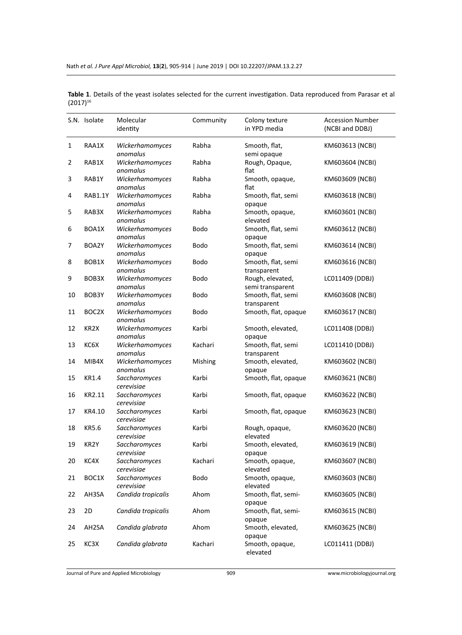|    | S.N. Isolate      | Molecular<br>identity       | Community | Colony texture<br>in YPD media       | <b>Accession Number</b><br>(NCBI and DDBJ) |  |
|----|-------------------|-----------------------------|-----------|--------------------------------------|--------------------------------------------|--|
| 1  | RAA1X             | Wickerhamomyces<br>anomalus | Rabha     | Smooth, flat,<br>semi opaque         | KM603613 (NCBI)                            |  |
| 2  | RAB1X             | Wickerhamomyces<br>anomalus | Rabha     | Rough, Opaque,<br>flat               | KM603604 (NCBI)                            |  |
| 3  | RAB1Y             | Wickerhamomyces<br>anomalus | Rabha     | Smooth, opaque,<br>flat              | KM603609 (NCBI)                            |  |
| 4  | RAB1.1Y           | Wickerhamomyces<br>anomalus | Rabha     | Smooth, flat, semi<br>opaque         | KM603618 (NCBI)                            |  |
| 5  | RAB3X             | Wickerhamomyces<br>anomalus | Rabha     | Smooth, opaque,<br>elevated          | KM603601 (NCBI)                            |  |
| 6  | BOA1X             | Wickerhamomyces<br>anomalus | Bodo      | Smooth, flat, semi<br>opaque         | KM603612 (NCBI)                            |  |
| 7  | BOA2Y             | Wickerhamomyces<br>anomalus | Bodo      | Smooth, flat, semi<br>opaque         | KM603614 (NCBI)                            |  |
| 8  | BOB1X             | Wickerhamomyces<br>anomalus | Bodo      | Smooth, flat, semi<br>transparent    | KM603616 (NCBI)                            |  |
| 9  | BOB3X             | Wickerhamomyces<br>anomalus | Bodo      | Rough, elevated,<br>semi transparent | LC011409 (DDBJ)                            |  |
| 10 | BOB3Y             | Wickerhamomyces<br>anomalus | Bodo      | Smooth, flat, semi<br>transparent    | KM603608 (NCBI)                            |  |
| 11 | BOC2X             | Wickerhamomyces<br>anomalus | Bodo      | Smooth, flat, opaque                 | KM603617 (NCBI)                            |  |
| 12 | KR2X              | Wickerhamomyces<br>anomalus | Karbi     | Smooth, elevated,<br>opaque          | LC011408 (DDBJ)                            |  |
| 13 | KC6X              | Wickerhamomyces<br>anomalus | Kachari   | Smooth, flat, semi<br>transparent    | LC011410 (DDBJ)                            |  |
| 14 | MIB4X             | Wickerhamomyces<br>anomalus | Mishing   | Smooth, elevated,<br>opaque          | KM603602 (NCBI)                            |  |
| 15 | KR1.4             | Saccharomyces<br>cerevisiae | Karbi     | Smooth, flat, opaque                 | KM603621 (NCBI)                            |  |
| 16 | KR2.11            | Saccharomyces<br>cerevisiae | Karbi     | Smooth, flat, opaque                 | KM603622 (NCBI)                            |  |
| 17 | KR4.10            | Saccharomyces<br>cerevisiae | Karbi     | Smooth, flat, opaque                 | KM603623 (NCBI)                            |  |
| 18 | KR5.6             | Saccharomyces<br>cerevisiae | Karbi     | Rough, opaque,<br>elevated           | KM603620 (NCBI)                            |  |
| 19 | KR <sub>2</sub> Y | Saccharomyces<br>cerevisiae | Karbi     | Smooth, elevated,<br>opaque          | KM603619 (NCBI)                            |  |
| 20 | KC4X              | Saccharomyces<br>cerevisiae | Kachari   | Smooth, opaque,<br>elevated          | KM603607 (NCBI)                            |  |
| 21 | BOC1X             | Saccharomyces<br>cerevisiae | Bodo      | Smooth, opaque,<br>elevated          | KM603603 (NCBI)                            |  |
| 22 | AH3SA             | Candida tropicalis          | Ahom      | Smooth, flat, semi-<br>opaque        | KM603605 (NCBI)                            |  |
| 23 | 2D                | Candida tropicalis          | Ahom      | Smooth, flat, semi-<br>opaque        | KM603615 (NCBI)                            |  |
| 24 | AH2SA             | Candida glabrata            | Ahom      | Smooth, elevated,<br>opaque          | KM603625 (NCBI)                            |  |
| 25 | KC3X              | Candida glabrata            | Kachari   | Smooth, opaque,<br>elevated          | LC011411 (DDBJ)                            |  |

**Table 1**. Details of the yeast isolates selected for the current investigation. Data reproduced from Parasar et al  $(2017)^{16}$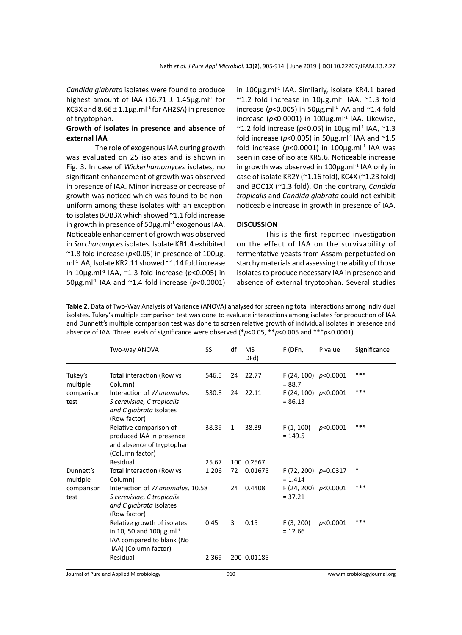*Candida glabrata* isolates were found to produce highest amount of IAA (16.71  $\pm$  1.45µg.ml<sup>-1</sup> for KC3X and  $8.66 \pm 1.1$ µg.ml<sup>-1</sup> for AH2SA) in presence of tryptophan.

### **Growth of isolates in presence and absence of external IAA**

The role of exogenous IAA during growth was evaluated on 25 isolates and is shown in Fig. 3. In case of *Wickerhamomyces* isolates, no significant enhancement of growth was observed in presence of IAA. Minor increase or decrease of growth was noticed which was found to be nonuniform among these isolates with an exception to isolates BOB3X which showed ~1.1 fold increase in growth in presence of  $50 \mu g$ .ml $^{-1}$  exogenous IAA. Noticeable enhancement of growth was observed in *Saccharomyces* isolates. Isolate KR1.4 exhibited  $\approx$ 1.8 fold increase ( $p$ <0.05) in presence of 100 $\mu$ g. ml<sup>-1</sup> IAA, Isolate KR2.11 showed ~1.14 fold increase in 10µg.ml-1 IAA, ~1.3 fold increase (*p*<0.005) in 50µg.ml-1 IAA and ~1.4 fold increase (*p*<0.0001) in 100 $\mu$ g.ml<sup>-1</sup> IAA. Similarly, isolate KR4.1 bared  $~$  ~1.2 fold increase in 10µg.ml<sup>-1</sup> IAA, ~1.3 fold increase ( $p$ <0.005) in 50 $\mu$ g.ml<sup>-1</sup> IAA and  $\sim$ 1.4 fold increase ( $p$ <0.0001) in 100 $\mu$ g.ml<sup>-1</sup> IAA. Likewise,  $\sim$ 1.2 fold increase ( $p$ <0.05) in 10 $\mu$ g.ml<sup>-1</sup> IAA,  $\sim$ 1.3 fold increase ( $p$ <0.005) in 50 $\mu$ g.ml<sup>-1</sup> IAA and  $\sim$ 1.5 fold increase ( $p$ <0.0001) in 100 $\mu$ g.ml<sup>-1</sup> IAA was seen in case of isolate KR5.6. Noticeable increase in growth was observed in  $100 \mu g$ .ml $^{-1}$  IAA only in case of isolate KR2Y (~1.16 fold), KC4X (~1.23 fold) and BOC1X (~1.3 fold). On the contrary, *Candida tropicalis* and *Candida glabrata* could not exhibit noticeable increase in growth in presence of IAA.

#### **DISCUSSION**

This is the first reported investigation on the effect of IAA on the survivability of fermentative yeasts from Assam perpetuated on starchy materials and assessing the ability of those isolates to produce necessary IAA in presence and absence of external tryptophan. Several studies

**Table 2**. Data of Two-Way Analysis of Variance (ANOVA) analysed for screening total interactions among individual isolates. Tukey's multiple comparison test was done to evaluate interactions among isolates for production of IAA and Dunnett's multiple comparison test was done to screen relative growth of individual isolates in presence and absence of IAA. Three levels of significance were observed (\**p*<0.05, \*\**p*<0.005 and \*\*\**p*<0.0001)

|                       | Two-way ANOVA                                                                                                                   | SS    | df           | MS<br>DFd)  | F (DFn,                             | P value  | Significance |
|-----------------------|---------------------------------------------------------------------------------------------------------------------------------|-------|--------------|-------------|-------------------------------------|----------|--------------|
| Tukey's<br>multiple   | Total interaction (Row vs<br>Column)                                                                                            | 546.5 | 24           | 22.77       | F (24, 100) $p<0.0001$<br>$= 88.7$  |          | ***          |
| comparison<br>test    | Interaction of W anomalus,<br>S cerevisiae, C tropicalis<br>and C glabrata isolates<br>(Row factor)                             | 530.8 |              | 24 22.11    | F (24, 100) $p<0.0001$<br>$= 86.13$ |          | ***          |
|                       | Relative comparison of<br>produced IAA in presence<br>and absence of tryptophan<br>(Column factor)                              | 38.39 | $\mathbf{1}$ | 38.39       | F(1, 100)<br>$= 149.5$              | p<0.0001 | ***          |
|                       | Residual                                                                                                                        | 25.67 |              | 100 0.2567  |                                     |          |              |
| Dunnett's<br>multiple | Total interaction (Row vs<br>Column)                                                                                            | 1.206 | 72           | 0.01675     | F (72, 200) $p=0.0317$<br>$= 1.414$ |          | *            |
| comparison<br>test    | Interaction of W anomalus, 10.58<br>S cerevisiae, C tropicalis<br>and C glabrata isolates<br>(Row factor)                       |       | 24           | 0.4408      | F (24, 200) $p<0.0001$<br>$= 37.21$ |          | ***          |
|                       | Relative growth of isolates<br>in 10, 50 and $100 \mu g$ .ml <sup>-1</sup><br>IAA compared to blank (No<br>IAA) (Column factor) | 0.45  | 3            | 0.15        | F(3, 200)<br>$= 12.66$              | p<0.0001 | ***          |
|                       | Residual                                                                                                                        | 2.369 |              | 200 0.01185 |                                     |          |              |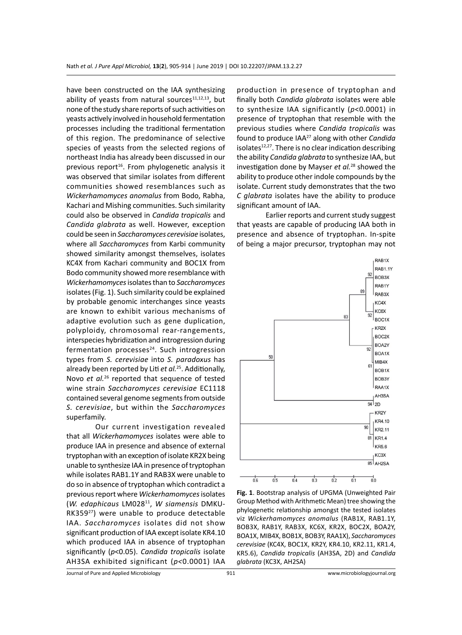have been constructed on the IAA synthesizing ability of yeasts from natural sources $11,12,13$ , but none of the study share reports of such activities on yeasts actively involved in household fermentation processes including the traditional fermentation of this region. The predominance of selective species of yeasts from the selected regions of northeast India has already been discussed in our previous report<sup>16</sup>. From phylogenetic analysis it was observed that similar isolates from different communities showed resemblances such as *Wickerhamomyces anomalus* from Bodo, Rabha, Kachari and Mishing communities. Such similarity could also be observed in *Candida tropicalis* and *Candida glabrata* as well. However, exception could be seen in *Saccharomyces cerevisiae* isolates, where all *Saccharomyces* from Karbi community showed similarity amongst themselves, isolates KC4X from Kachari community and BOC1X from Bodo community showed more resemblance with *Wickerhamomyces* isolates than to *Saccharomyces* isolates (Fig. 1). Such similarity could be explained by probable genomic interchanges since yeasts are known to exhibit various mechanisms of adaptive evolution such as gene duplication, polyploidy, chromosomal rear-rangements, interspecies hybridization and introgression during fermentation processes<sup>24</sup>. Such introgression types from *S. cerevisiae* into *S. paradoxus* has already been reported by Liti *et al.*25. Additionally, Novo *et al.*26 reported that sequence of tested wine strain *Saccharomyces cerevisiae* EC1118 contained several genome segments from outside *S. cerevisiae*, but within the *Saccharomyces*  superfamily.

Our current investigation revealed that all *Wickerhamomyces* isolates were able to produce IAA in presence and absence of external tryptophan with an exception of isolate KR2X being unable to synthesize IAA in presence of tryptophan while isolates RAB1.1Y and RAB3X were unable to do so in absence of tryptophan which contradict a previous report where *Wickerhamomyces* isolates (*W. edaphicaus* LM02811, *W siamensis* DMKU-RK35927) were unable to produce detectable IAA. *Saccharomyces* isolates did not show significant production of IAA except isolate KR4.10 which produced IAA in absence of tryptophan significantly (*p*<0.05). *Candida tropicalis* isolate AH3SA exhibited significant (*p<*0.0001) IAA production in presence of tryptophan and finally both *Candida glabrata* isolates were able to synthesize IAA significantly (*p*<0.0001) in presence of tryptophan that resemble with the previous studies where *Candida tropicalis* was found to produce IAA27 along with other *Candida*  isolates $12,27$ . There is no clear indication describing the ability *Candida glabrata* to synthesize IAA, but investigation done by Mayser *et al.*28 showed the ability to produce other indole compounds by the isolate. Current study demonstrates that the two *C glabrata* isolates have the ability to produce significant amount of IAA.

Earlier reports and current study suggest that yeasts are capable of producing IAA both in presence and absence of tryptophan. In-spite of being a major precursor, tryptophan may not



**Fig. 1**. Bootstrap analysis of UPGMA (Unweighted Pair Group Method with Arithmetic Mean) tree showing the phylogenetic relationship amongst the tested isolates viz *Wickerhamomyces anomalus* (RAB1X, RAB1.1Y, BOB3X, RAB1Y, RAB3X, KC6X, KR2X, BOC2X, BOA2Y, BOA1X, MIB4X, BOB1X, BOB3Y, RAA1X), *Saccharomyces cerevisiae* (KC4X, BOC1X, KR2Y, KR4.10, KR2.11, KR1.4, KR5.6), *Candida tropicalis* (AH3SA, 2D) and *Candida glabrata* (KC3X, AH2SA)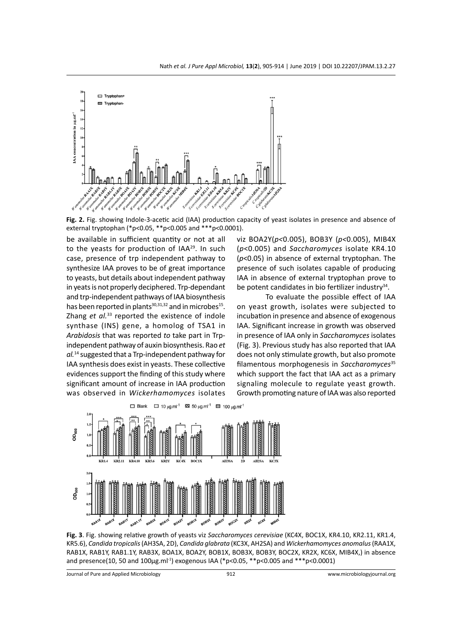

**Fig. 2.** Fig. showing Indole-3-acetic acid (IAA) production capacity of yeast isolates in presence and absence of external tryptophan (\*p<0.05, \*\*p<0.005 and \*\*\*p<0.0001).

be available in sufficient quantity or not at all to the yeasts for production of  $IAA^{29}$ . In such case, presence of trp independent pathway to synthesize IAA proves to be of great importance to yeasts, but details about independent pathway in yeats is not properly deciphered. Trp-dependant and trp-independent pathways of IAA biosynthesis has been reported in plants $30,31,32$  and in microbes<sup>15</sup>. Zhang *et al.*33 reported the existence of indole synthase (INS) gene, a homolog of TSA1 in *Arabidosis* that was reported *to* take part in Trpindependent pathway of auxin biosynthesis. Rao *et al.*14 suggested that a Trp-independent pathway for IAA synthesis does exist in yeasts. These collective evidences support the finding of this study where significant amount of increase in IAA production was observed in *Wickerhamomyces* isolates viz BOA2Y(*p<*0.005), BOB3Y (*p<*0.005), MIB4X (*p*<0.005) and *Saccharomyces* isolate KR4.10 (*p*<0.05) in absence of external tryptophan. The presence of such isolates capable of producing IAA in absence of external tryptophan prove to be potent candidates in bio fertilizer industry<sup>34</sup>.

To evaluate the possible effect of IAA on yeast growth, isolates were subjected to incubation in presence and absence of exogenous IAA. Significant increase in growth was observed in presence of IAA only in *Saccharomyces* isolates (Fig. 3). Previous study has also reported that IAA does not only stimulate growth, but also promote filamentous morphogenesis in *Saccharomyces*<sup>35</sup> which support the fact that IAA act as a primary signaling molecule to regulate yeast growth. Growth promoting nature of IAA was also reported



**Fig. 3**. Fig. showing relative growth of yeasts viz *Saccharomyces cerevisiae* (KC4X, BOC1X, KR4.10, KR2.11, KR1.4, KR5.6), *Candida tropicalis* (AH3SA, 2D), *Candida glabrata* (KC3X, AH2SA) and *Wickerhamomyces anomalus* (RAA1X, RAB1X, RAB1Y, RAB1.1Y, RAB3X, BOA1X, BOA2Y, BOB1X, BOB3X, BOB3Y, BOC2X, KR2X, KC6X, MIB4X,) in absence and presence(10, 50 and 100µg.ml-1) exogenous IAA (\*p<0.05, \*\*p<0.005 and \*\*\*p<0.0001)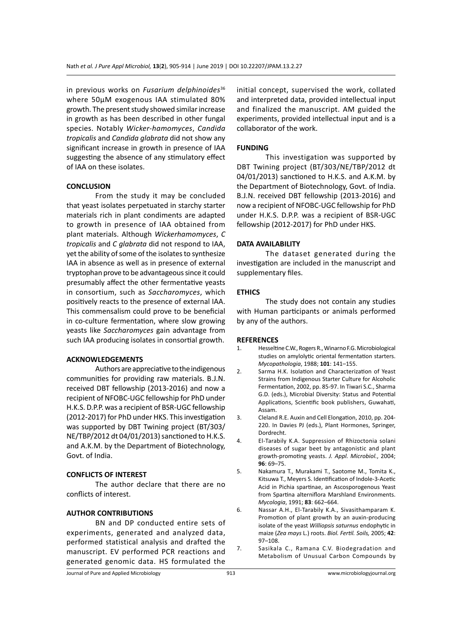in previous works on *Fusarium delphinoides*<sup>36</sup> where 50µM exogenous IAA stimulated 80% growth. The present study showed similar increase in growth as has been described in other fungal species. Notably *Wicker-hamomyces*, *Candida tropicalis* and *Candida glabrata* did not show any significant increase in growth in presence of IAA suggesting the absence of any stimulatory effect of IAA on these isolates.

#### **CONCLUSION**

From the study it may be concluded that yeast isolates perpetuated in starchy starter materials rich in plant condiments are adapted to growth in presence of IAA obtained from plant materials. Although *Wickerhamomyces*, *C tropicalis* and *C glabrata* did not respond to IAA, yet the ability of some of the isolates to synthesize IAA in absence as well as in presence of external tryptophan prove to be advantageous since it could presumably affect the other fermentative yeasts in consortium, such as *Saccharomyces*, which positively reacts to the presence of external IAA. This commensalism could prove to be beneficial in co-culture fermentation, where slow growing yeasts like *Saccharomyces* gain advantage from such IAA producing isolates in consortial growth.

#### **ACKNOWLEDGEMENTS**

Authors are appreciative to the indigenous communities for providing raw materials. B.J.N. received DBT fellowship (2013-2016) and now a recipient of NFOBC-UGC fellowship for PhD under H.K.S. D.P.P. was a recipient of BSR-UGC fellowship (2012-2017) for PhD under HKS. This investigation was supported by DBT Twining project (BT/303/ NE/TBP/2012 dt 04/01/2013) sanctioned to H.K.S. and A.K.M. by the Department of Biotechnology, Govt. of India.

#### **CONFLICTS OF INTEREST**

The author declare that there are no conflicts of interest.

#### **AUTHOR CONTRIBUTIONS**

BN and DP conducted entire sets of experiments, generated and analyzed data, performed statistical analysis and drafted the manuscript. EV performed PCR reactions and generated genomic data. HS formulated the

initial concept, supervised the work, collated and interpreted data, provided intellectual input and finalized the manuscript. AM guided the experiments, provided intellectual input and is a collaborator of the work.

#### **FUNDING**

This investigation was supported by DBT Twining project (BT/303/NE/TBP/2012 dt 04/01/2013) sanctioned to H.K.S. and A.K.M. by the Department of Biotechnology, Govt. of India. B.J.N. received DBT fellowship (2013-2016) and now a recipient of NFOBC-UGC fellowship for PhD under H.K.S. D.P.P. was a recipient of BSR-UGC fellowship (2012-2017) for PhD under HKS.

#### **DATA AVAILABILITY**

The dataset generated during the investigation are included in the manuscript and supplementary files.

#### **ETHICS**

The study does not contain any studies with Human participants or animals performed by any of the authors.

#### **REFERENCES**

- 1. Hesseltine C.W., Rogers R., Winarno F.G. Microbiological studies on amylolytic oriental fermentation starters. *Mycopathologia*, 1988; **101**: 141–155.
- 2. Sarma H.K. Isolation and Characterization of Yeast Strains from Indigenous Starter Culture for Alcoholic Fermentation, 2002, pp. 85-97. In Tiwari S.C., Sharma G.D. (eds.), Microbial Diversity: Status and Potential Applications, Scientific book publishers, Guwahati, Assam.
- 3. Cleland R.E. Auxin and Cell Elongation, 2010, pp. 204- 220. In Davies PJ (eds.), Plant Hormones, Springer, Dordrecht.
- 4. El-Tarabily K.A. Suppression of Rhizoctonia solani diseases of sugar beet by antagonistic and plant growth-promoting yeasts. *J. Appl. Microbiol.*, 2004; **96**: 69–75.
- 5. Nakamura T., Murakami T., Saotome M., Tomita K., Kitsuwa T., Meyers S. Identification of Indole-3-Acetic Acid in Pichia spartinae, an Ascosporogenous Yeast from Spartina alterniflora Marshland Environments. *Mycologia*, 1991; **83**: 662–664.
- 6. Nassar A.H., El-Tarabily K.A., Sivasithamparam K. Promotion of plant growth by an auxin-producing isolate of the yeast *Williopsis saturnus* endophytic in maize (*Zea mays* L.) roots. *Biol. Fertil. Soils,* 2005; **42**: 97–108.
- 7. Sasikala C., Ramana C.V. Biodegradation and Metabolism of Unusual Carbon Compounds by